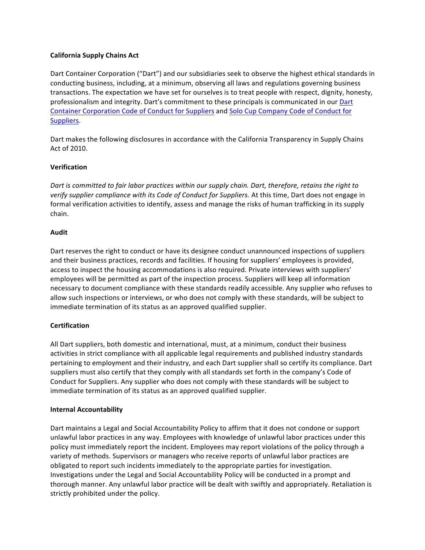## **California Supply Chains Act**

Dart Container Corporation ("Dart") and our subsidiaries seek to observe the highest ethical standards in conducting business, including, at a minimum, observing all laws and regulations governing business transactions. The expectation we have set for ourselves is to treat people with respect, dignity, honesty, professionalism and integrity. Dart's commitment to these principals is communicated in our Dart Container Corporation Code of Conduct for Suppliers and Solo Cup Company Code of Conduct for [Suppliers](http://solutionsbysolo.com/Content/documents/Solo_Supplier_Code_of_Conduct_7-10-14.pdf).

Dart makes the following disclosures in accordance with the California Transparency in Supply Chains Act of 2010.

# **Verification**

*Dart is committed to fair labor practices within our supply chain. Dart, therefore, retains the right to* verify supplier compliance with its Code of Conduct for Suppliers. At this time, Dart does not engage in formal verification activities to identify, assess and manage the risks of human trafficking in its supply chain.

## **Audit**

Dart reserves the right to conduct or have its designee conduct unannounced inspections of suppliers and their business practices, records and facilities. If housing for suppliers' employees is provided, access to inspect the housing accommodations is also required. Private interviews with suppliers' employees will be permitted as part of the inspection process. Suppliers will keep all information necessary to document compliance with these standards readily accessible. Any supplier who refuses to allow such inspections or interviews, or who does not comply with these standards, will be subject to immediate termination of its status as an approved qualified supplier.

## **Certification**

All Dart suppliers, both domestic and international, must, at a minimum, conduct their business activities in strict compliance with all applicable legal requirements and published industry standards pertaining to employment and their industry, and each Dart supplier shall so certify its compliance. Dart suppliers must also certify that they comply with all standards set forth in the company's Code of Conduct for Suppliers. Any supplier who does not comply with these standards will be subject to immediate termination of its status as an approved qualified supplier.

## **Internal Accountability**

Dart maintains a Legal and Social Accountability Policy to affirm that it does not condone or support unlawful labor practices in any way. Employees with knowledge of unlawful labor practices under this policy must immediately report the incident. Employees may report violations of the policy through a variety of methods. Supervisors or managers who receive reports of unlawful labor practices are obligated to report such incidents immediately to the appropriate parties for investigation. Investigations under the Legal and Social Accountability Policy will be conducted in a prompt and thorough manner. Any unlawful labor practice will be dealt with swiftly and appropriately. Retaliation is strictly prohibited under the policy.